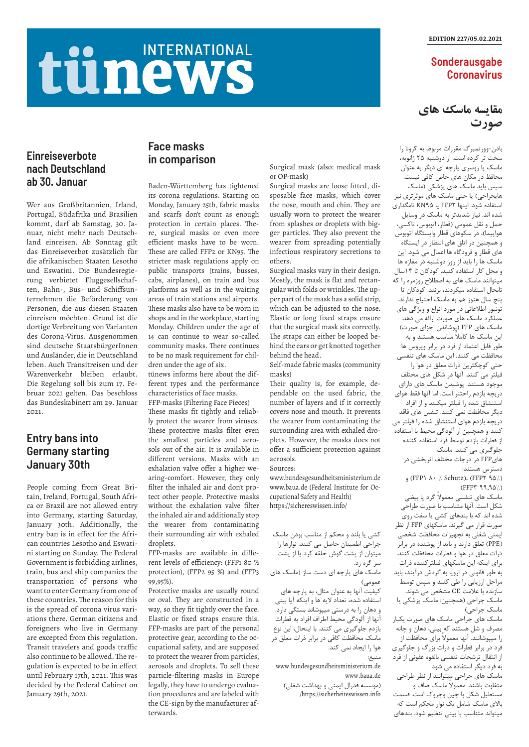#### EDITION 227/05.02.2021

### **Sonderausgabe Coronavirus**

## **Einreiseverbote nach Deutschland ab 30. Januar**

Wer aus Großbritannien, Irland, Portugal, Südafrika und Brasilien kommt, darf ab Samstag, 30. Januar, nicht mehr nach Deutschland einreisen. Ab Sonntag gilt das Einreiseverbot zusätzlich für die afrikanischen Staaten Lesotho und Eswatini. Die Bundesregierung verbietet Fluggesellschaften, Bahn-, Bus- und Schiffsunternehmen die Beförderung von Personen, die aus diesen Staaten einreisen möchten. Grund ist die dortige Verbreitung von Varianten des Corona-Virus. Ausgenommen sind deutsche StaatsbürgerInnen und Ausländer, die in Deutschland leben. Auch Transitreisen und der Warenverkehr bleiben erlaubt. Die Regelung soll bis zum 17. Februar 2021 gelten. Das beschloss das Bundeskabinett am 29. Januar 2021.

## **Face masks in comparison**

Baden-Württemberg has tightened its corona regulations. Starting on Monday, January 25th, fabric masks and scarfs don't count as enough protection in certain places. There, surgical masks or even more efficient masks have to be worn. These are called FFP2 or KN95. The stricter mask regulations apply on public transports (trains, busses, cabs, airplanes), on train and bus platforms as well as in the waiting areas of train stations and airports. These masks also have to be worn in shops and in the workplace, starting Monday. Children under the age of 14 can continue to wear so-called community masks. There continues to be no mask requirement for children under the age of six.

tünews informs here about the different types and the performance characteristics of face masks.

FFP-masks (Filtering Face Pieces) These masks fit tightly and reliably protect the wearer from viruses. These protective masks filter even the smallest particles and aerosols out of the air. It is available in different versions. Masks with an exhalation valve offer a higher wearing-comfort. However, they only filter the inhaled air and don't protect other people. Protective masks without the exhalation valve filter the inhaled air and additionally stop the wearer from contaminating their surrounding air with exhaled droplets.

FFP-masks are available in different levels of efficiency: (FFP1 80 % protection), (FFP2 95 %) and (FFP3 99,95%).

Protective masks are usually round or oval. They are constructed in a way, so they fit tightly over the face. Elastic or fixed straps ensure this. FFP-masks are part of the personal protective gear, according to the occupational safety, and are supposed to protect the wearer from particles, aerosols and droplets. To sell these particle-filtering masks in Europe legally, they have to undergo evaluation procedures and are labeled with the CE-sign by the manufacturer afterwards.

## **Entry bans into Germany starting January 30th**

People coming from Great Britain, Ireland, Portugal, South Africa or Brazil are not allowed entry into Germany, starting Saturday, January 30th. Additionally, the entry ban is in effect for the African countries Lesotho and Eswatini starting on Sunday. The Federal Government is forbidding airlines, train, bus and ship companies the transportation of persons who want to enter Germany from one of these countries. The reason for this is the spread of corona virus variations there. German citizens and foreigners who live in Germany are excepted from this regulation. Transit travelers and goods traffic also continue to be allowed. The regulation is expected to be in effect until February 17th, 2021. This was decided by the Federal Cabinet on January 29th, 2021.

Surgical mask (also: medical mask or OP-mask)

Surgical masks are loose fitted, disposable face masks, which cover the nose, mouth and chin. They are usually worn to protect the wearer from splashes or droplets with bigger particles. They also prevent the wearer from spreading potentially infectious respiratory secretions to others.

Surgical masks vary in their design. Mostly, the mask is flat and rectangular with folds or wrinkles. The upper part of the mask has a solid strip, which can be adjusted to the nose. Elastic or long fixed straps ensure that the surgical mask sits correctly. The straps can either be looped behind the ears or get knotted together behind the head.

Self-made fabric masks (community masks)

Their quality is, for example, dependable on the used fabric, the number of layers and if it correctly covers nose and mouth. It prevents the wearer from contaminating the surrounding area with exhaled droplets. However, the masks does not offer a sufficient protection against aerosols.

Sources:

www.bundesgesundheitsministerium.de www.baua.de (Federal Institute for Occupational Safety and Health) https://sichereswissen.info/

**مقايسه ماسک های صورت**

بادن-وورتمبرگ مقررات مربوط به کرونا را سخت تر کرده است. از دوشنبه ۲۵ ژانویه، ماسک یا روسری پارچه ای دیگر به عنوان محافظ در مکان های خاص کافی نیست. سپس باید ماسک های پزشکی )ماسک هایجراحی) یا حتی ماسک های موثرتری نیز استفاده شود. اینها ۲FFP یا 9۵KN نامگذاری شده اند. نیاز شدیدتر به ماسک در وسایل حمل و نقل عمومی )قطار، اتوبوس، تاکسی، هواپیما)، در سکوهای قطار وایستگاه اتوبوس و همچنین در اتاق های انتظار در ایستگاه های قطار و فرودگاه ها اعمال می شود. این ماسک ها را باید از روز دوشنبه در مغازه ها و محل کار استفاده کنید. کودکان تا ۱۴سال میتوانند ماسک های به اصطالح روزمره را که تابحال استفاده میکردند، بزنند. کودکان تا پنج سال هنوز هم به ماسک احتیاج ندارند. تونیوز اطالعاتی در مورد انواع و ویژگی های عملکرد ماسک های صورت ارائه می دهد. ماسک های FFP( پوشاندن اجزای صورت( ً این ماسک ها کامال مناسب هستند و به طور قابل اعتماد از فرد در برابر ویروس ها محافظت می کنند. این ماسک های تنفسی حتی کوچکترین ذرات معلق در هوا را فیلتر می کنند. آنها در شکل های مختلف موجود هستند. پوشیدن ماسک های دارای دریچه بازدم راحتتر است. اما آنها فقط هوای استنشاق شده را فیلتر میکنند و از افراد دیگر محافظت نمی کنند. تنفس های فاقد دریچه بازدم هوای استنشاق شده را فیلتر می کنند و همچنین از آلودگی محیط با استفاده از قطرات بازدم توسط فرد استفاده کننده جلوگیری می کنند. ماسک هایFFP در درجات مختلف اثربخشی در دسترس هستند: و (FFP۱  $\lambda \cdot \lambda$  Schutz). (FFP۲ ۹۵٪)  $(FFPY 99,90%)$ ماسک های تنفسی معموالً گرد یا بیضی شکل است. آنها متناسب با صورت طراحی شده اند که با بندهای کشی یا سفت روی صورت قرار می گیرند. ماسکهای FFP از نظر ایمنی شغلی به تجهیزات محافظت شخصی )PPE )تعلق دارند و باید از پوشنده در برابر

# tünews **INTERNATIONAL**

برای اینکه این ماسکهای فیلترکننده ذرات به طور قانونی در اروپا به گردش درآیند، باید مراحل ارزیابی را طی کنند و سپس توسط سازنده با عالمت CE مشخص می شوند. ماسک جراحی )همچنین: ماسک پزشکی یا ماسک جراحی) ماسک های جراحی ماسک های صورت یکبار مصرف و شل هستند که بینی، دهان و چانه را میپوشانند. آنها معموالً برای محافظت از فرد در برابر قطرات و ذرات بزرگ و جلوگیری از انتقال ترشحات تنفسی بالقوه عفونی از فرد به فرد دیگر استفاده می شود. ماسک های جراحی میتوانند از نظر طراحی متفاوت باشند. معموالً ماسک صاف و مستطیل شکل با چین وچروک است. قسمت باالی ماسک شامل یک نوار محکم است که میتواند متناسب با بینی تنظیم شود. بندهای

ذرات معلق در هوا و قطرات محافظت کنند. کشی یا بلند و محکم از مناسب بودن ماسک جراحی اطمینان حاصل می کنند. نوارها را میتوان از پشت گوش حلقه کرد یا از پشت سر گره زد. ماسک های پارچه ای دست ساز )ماسک های عمومی) کیفیت آنها به عنوان مثال، به پارچه های استفاده شده، تعداد الیه ها و اینکه آیا بینی و دهان را به درستی میپوشاند بستگی دارد. آنها از آلودگی محیط اطراف افراد به قطرات بازدم جلوگیری می کنند. با اینحال، این نوع ماسک محافظت کافی در برابر ذرات معلق در هوا را ایجاد نمی کند. منبع: www.bundesgesundheitsministerium.de www.baua.de

)موسسه فدرال ایمنی و بهداشت شغلی( /https://sicherheiteswissen.info